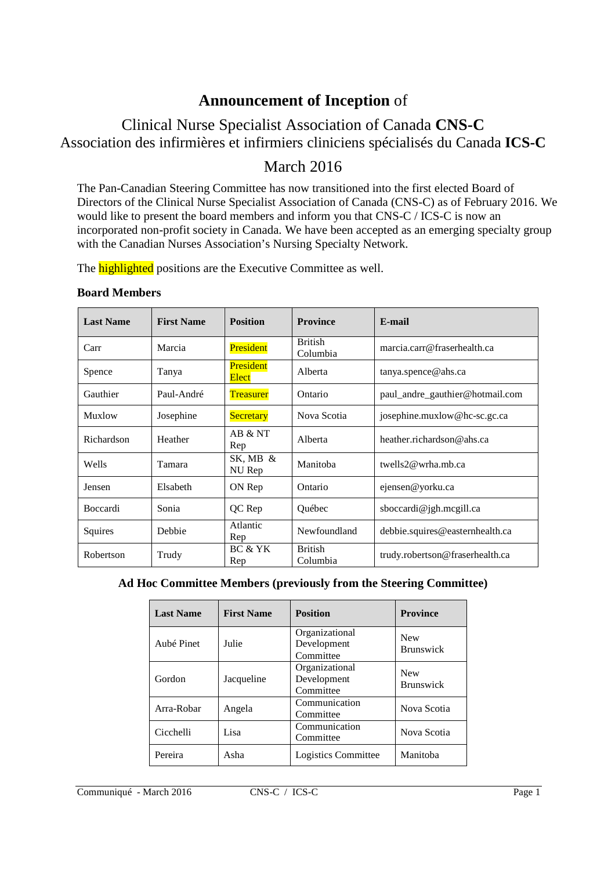## **Announcement of Inception** of

# Clinical Nurse Specialist Association of Canada **CNS-C** Association des infirmières et infirmiers cliniciens spécialisés du Canada **ICS-C**

## March 2016

The Pan-Canadian Steering Committee has now transitioned into the first elected Board of Directors of the Clinical Nurse Specialist Association of Canada (CNS-C) as of February 2016. We would like to present the board members and inform you that CNS-C / ICS-C is now an incorporated non-profit society in Canada. We have been accepted as an emerging specialty group with the Canadian Nurses Association's Nursing Specialty Network.

The **highlighted** positions are the Executive Committee as well.

#### **Board Members**

| <b>Last Name</b> | <b>First Name</b> | <b>Position</b>           | <b>Province</b>            | E-mail                          |  |
|------------------|-------------------|---------------------------|----------------------------|---------------------------------|--|
| Carr             | Marcia            | President                 | <b>British</b><br>Columbia | marcia.carr@fraserhealth.ca     |  |
| Spence           | Tanya             | <b>President</b><br>Elect | Alberta                    | tanya.spence@abs.ca             |  |
| Gauthier         | Paul-André        | <b>Treasurer</b>          | Ontario                    | paul_andre_gauthier@hotmail.com |  |
| Muxlow           | Josephine         | <b>Secretary</b>          | Nova Scotia                | josephine.muxlow@hc-sc.gc.ca    |  |
| Richardson       | Heather           | AB & NT<br>Rep            | Alberta                    | heather.richardson@ahs.ca       |  |
| Wells            | Tamara            | SK, MB $\&$<br>NU Rep     | Manitoba                   | twells $2@$ wrha, mb.ca         |  |
| Jensen           | Elsabeth          | ON Rep                    | Ontario                    | ejensen@yorku.ca                |  |
| <b>Boccardi</b>  | Sonia             | QC Rep                    | Québec                     | sboccardi@jgh.mcgill.ca         |  |
| Squires          | Debbie            | Atlantic<br>Rep           | Newfoundland               | debbie.squires@easternhealth.ca |  |
| Robertson        | Trudy             | BC & YK<br>Rep            | <b>British</b><br>Columbia | trudy.robertson@fraserhealth.ca |  |

#### **Ad Hoc Committee Members (previously from the Steering Committee)**

| <b>Last Name</b> | <b>First Name</b> | <b>Position</b>                            | <b>Province</b>                |
|------------------|-------------------|--------------------------------------------|--------------------------------|
| Aubé Pinet       | Julie             | Organizational<br>Development<br>Committee | <b>New</b><br><b>Brunswick</b> |
| Gordon           | Jacqueline        | Organizational<br>Development<br>Committee | <b>New</b><br><b>Brunswick</b> |
| Arra-Robar       | Angela            | Communication<br>Committee                 | Nova Scotia                    |
| Cicchelli        | Lisa              | Communication<br>Committee                 | Nova Scotia                    |
| Pereira          | Asha              | Logistics Committee                        | Manitoba                       |